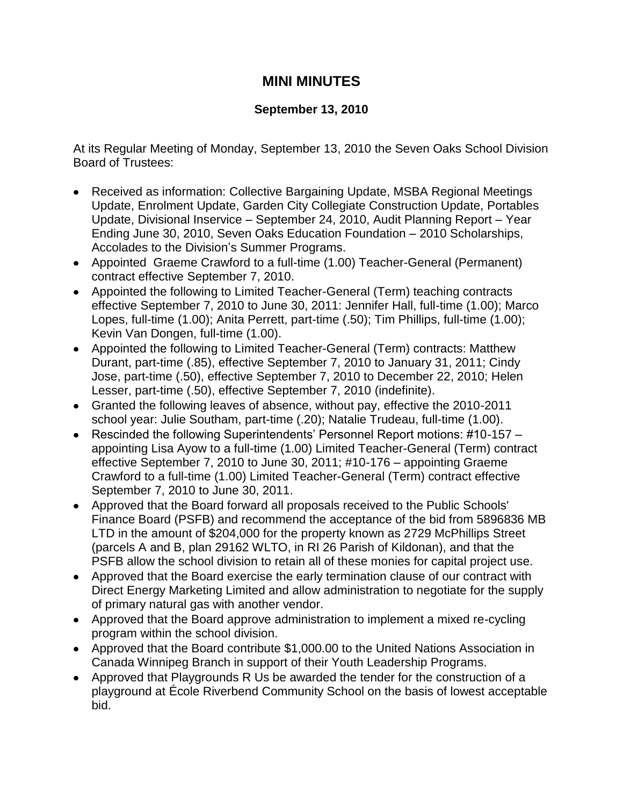## **MINI MINUTES**

## **September 13, 2010**

At its Regular Meeting of Monday, September 13, 2010 the Seven Oaks School Division Board of Trustees:

- Received as information: Collective Bargaining Update, MSBA Regional Meetings Update, Enrolment Update, Garden City Collegiate Construction Update, Portables Update, Divisional Inservice – September 24, 2010, Audit Planning Report – Year Ending June 30, 2010, Seven Oaks Education Foundation – 2010 Scholarships, Accolades to the Division's Summer Programs.
- Appointed Graeme Crawford to a full-time (1.00) Teacher-General (Permanent) contract effective September 7, 2010.
- Appointed the following to Limited Teacher-General (Term) teaching contracts effective September 7, 2010 to June 30, 2011: Jennifer Hall, full-time (1.00); Marco Lopes, full-time (1.00); Anita Perrett, part-time (.50); Tim Phillips, full-time (1.00); Kevin Van Dongen, full-time (1.00).
- Appointed the following to Limited Teacher-General (Term) contracts: Matthew Durant, part-time (.85), effective September 7, 2010 to January 31, 2011; Cindy Jose, part-time (.50), effective September 7, 2010 to December 22, 2010; Helen Lesser, part-time (.50), effective September 7, 2010 (indefinite).
- Granted the following leaves of absence, without pay, effective the 2010-2011 school year: Julie Southam, part-time (.20); Natalie Trudeau, full-time (1.00).
- Rescinded the following Superintendents' Personnel Report motions: #10-157 appointing Lisa Ayow to a full-time (1.00) Limited Teacher-General (Term) contract effective September 7, 2010 to June 30, 2011; #10-176 – appointing Graeme Crawford to a full-time (1.00) Limited Teacher-General (Term) contract effective September 7, 2010 to June 30, 2011.
- Approved that the Board forward all proposals received to the Public Schools' Finance Board (PSFB) and recommend the acceptance of the bid from 5896836 MB LTD in the amount of \$204,000 for the property known as 2729 McPhillips Street (parcels A and B, plan 29162 WLTO, in RI 26 Parish of Kildonan), and that the PSFB allow the school division to retain all of these monies for capital project use.
- Approved that the Board exercise the early termination clause of our contract with Direct Energy Marketing Limited and allow administration to negotiate for the supply of primary natural gas with another vendor.
- Approved that the Board approve administration to implement a mixed re-cycling program within the school division.
- Approved that the Board contribute \$1,000.00 to the United Nations Association in Canada Winnipeg Branch in support of their Youth Leadership Programs.
- Approved that Playgrounds R Us be awarded the tender for the construction of a playground at École Riverbend Community School on the basis of lowest acceptable bid.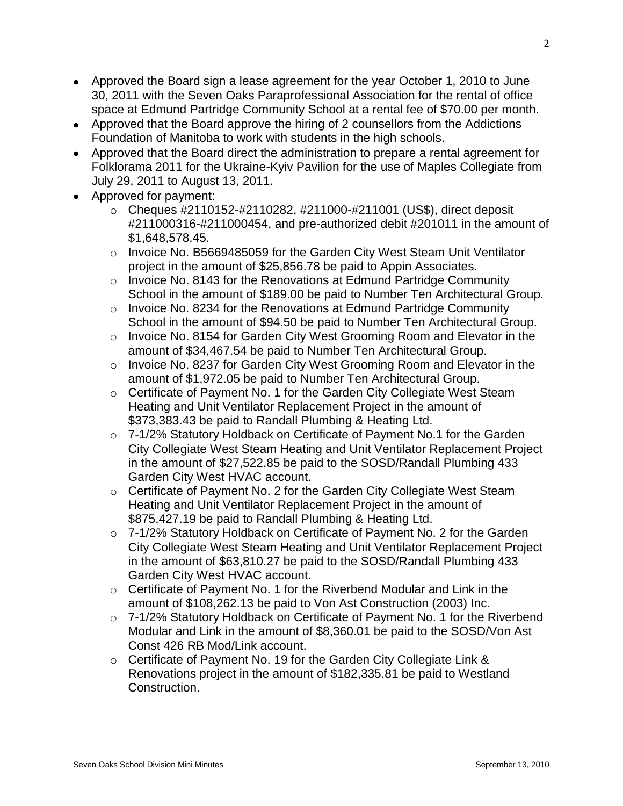- Approved the Board sign a lease agreement for the year October 1, 2010 to June 30, 2011 with the Seven Oaks Paraprofessional Association for the rental of office space at Edmund Partridge Community School at a rental fee of \$70.00 per month.
- Approved that the Board approve the hiring of 2 counsellors from the Addictions Foundation of Manitoba to work with students in the high schools.
- Approved that the Board direct the administration to prepare a rental agreement for Folklorama 2011 for the Ukraine-Kyiv Pavilion for the use of Maples Collegiate from July 29, 2011 to August 13, 2011.
- Approved for payment:
	- $\circ$  Cheques #2110152-#2110282, #211000-#211001 (US\$), direct deposit #211000316-#211000454, and pre-authorized debit #201011 in the amount of \$1,648,578.45.
	- o Invoice No. B5669485059 for the Garden City West Steam Unit Ventilator project in the amount of \$25,856.78 be paid to Appin Associates.
	- o Invoice No. 8143 for the Renovations at Edmund Partridge Community School in the amount of \$189.00 be paid to Number Ten Architectural Group.
	- $\circ$  Invoice No. 8234 for the Renovations at Edmund Partridge Community School in the amount of \$94.50 be paid to Number Ten Architectural Group.
	- o Invoice No. 8154 for Garden City West Grooming Room and Elevator in the amount of \$34,467.54 be paid to Number Ten Architectural Group.
	- o Invoice No. 8237 for Garden City West Grooming Room and Elevator in the amount of \$1,972.05 be paid to Number Ten Architectural Group.
	- o Certificate of Payment No. 1 for the Garden City Collegiate West Steam Heating and Unit Ventilator Replacement Project in the amount of \$373,383.43 be paid to Randall Plumbing & Heating Ltd.
	- o 7-1/2% Statutory Holdback on Certificate of Payment No.1 for the Garden City Collegiate West Steam Heating and Unit Ventilator Replacement Project in the amount of \$27,522.85 be paid to the SOSD/Randall Plumbing 433 Garden City West HVAC account.
	- o Certificate of Payment No. 2 for the Garden City Collegiate West Steam Heating and Unit Ventilator Replacement Project in the amount of \$875,427.19 be paid to Randall Plumbing & Heating Ltd.
	- o 7-1/2% Statutory Holdback on Certificate of Payment No. 2 for the Garden City Collegiate West Steam Heating and Unit Ventilator Replacement Project in the amount of \$63,810.27 be paid to the SOSD/Randall Plumbing 433 Garden City West HVAC account.
	- o Certificate of Payment No. 1 for the Riverbend Modular and Link in the amount of \$108,262.13 be paid to Von Ast Construction (2003) Inc.
	- o 7-1/2% Statutory Holdback on Certificate of Payment No. 1 for the Riverbend Modular and Link in the amount of \$8,360.01 be paid to the SOSD/Von Ast Const 426 RB Mod/Link account.
	- o Certificate of Payment No. 19 for the Garden City Collegiate Link & Renovations project in the amount of \$182,335.81 be paid to Westland Construction.